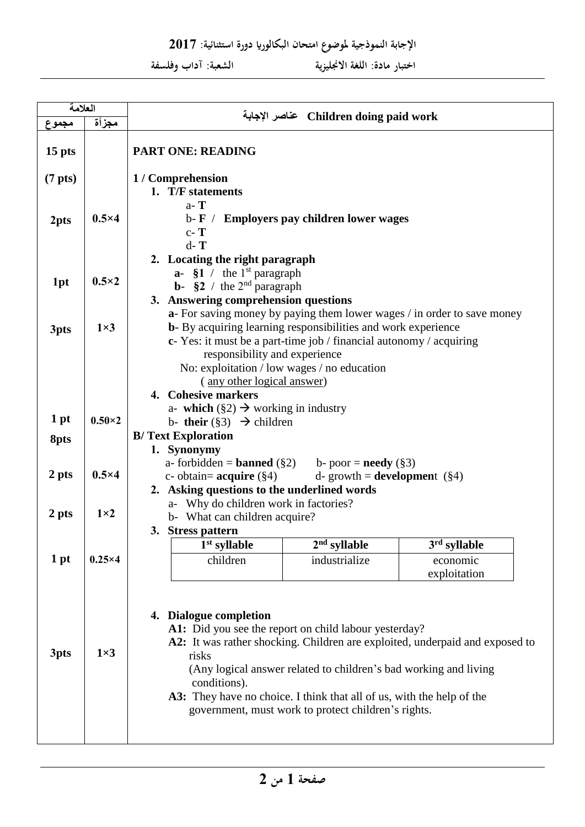**اإلجابة النموذجية ملووو اتحاا البكالوراي دورة اسحثنائية: 2017**

 **اخحبار تادة: اللغة االجنليزية الشعبة: آداب وفلسفة**

| العلامة             |                | Children doing paid work عناصر الإجابة                                                                                                                                                                                                                                                                                                                                                                       |                |                          |  |  |  |  |  |
|---------------------|----------------|--------------------------------------------------------------------------------------------------------------------------------------------------------------------------------------------------------------------------------------------------------------------------------------------------------------------------------------------------------------------------------------------------------------|----------------|--------------------------|--|--|--|--|--|
| مجموع               | مجزأة          |                                                                                                                                                                                                                                                                                                                                                                                                              |                |                          |  |  |  |  |  |
| 15 pts              |                | <b>PART ONE: READING</b>                                                                                                                                                                                                                                                                                                                                                                                     |                |                          |  |  |  |  |  |
| (7 <sub>pts</sub> ) |                | 1 / Comprehension<br>1. T/F statements                                                                                                                                                                                                                                                                                                                                                                       |                |                          |  |  |  |  |  |
| 2pts                | $0.5\times4$   | $a - T$<br>$b - F$ /<br><b>Employers pay children lower wages</b><br>$c - T$<br>$d - T$                                                                                                                                                                                                                                                                                                                      |                |                          |  |  |  |  |  |
| 1pt                 | $0.5\times2$   | 2. Locating the right paragraph<br>$a - \S1$ / the 1 <sup>st</sup> paragraph<br><b>b</b> - $\S2 /$ the 2 <sup>nd</sup> paragraph<br>3. Answering comprehension questions<br>a- For saving money by paying them lower wages / in order to save money                                                                                                                                                          |                |                          |  |  |  |  |  |
| 3pts                | $1\times3$     | <b>b</b> - By acquiring learning responsibilities and work experience<br>c- Yes: it must be a part-time job / financial autonomy / acquiring<br>responsibility and experience<br>No: exploitation / low wages / no education<br>(any other logical answer)<br>4. Cohesive markers                                                                                                                            |                |                          |  |  |  |  |  |
| 1 pt                | $0.50\times 2$ | a- which $(\S2) \rightarrow$ working in industry                                                                                                                                                                                                                                                                                                                                                             |                |                          |  |  |  |  |  |
|                     |                | b- their $(\S 3) \rightarrow$ children<br><b>B/Text Exploration</b>                                                                                                                                                                                                                                                                                                                                          |                |                          |  |  |  |  |  |
| 8pts                |                | 1. Synonymy                                                                                                                                                                                                                                                                                                                                                                                                  |                |                          |  |  |  |  |  |
|                     |                | a- forbidden = <b>banned</b> $(\S 2)$<br>b- poor = <b>needy</b> $(\S 3)$                                                                                                                                                                                                                                                                                                                                     |                |                          |  |  |  |  |  |
| 2 pts               | $0.5\times4$   | d- growth = <b>development</b> $(\S 4)$<br>c- obtain= $acquire (§4)$                                                                                                                                                                                                                                                                                                                                         |                |                          |  |  |  |  |  |
|                     |                | 2. Asking questions to the underlined words                                                                                                                                                                                                                                                                                                                                                                  |                |                          |  |  |  |  |  |
| 2 pts               | $1\times2$     | a- Why do children work in factories?                                                                                                                                                                                                                                                                                                                                                                        |                |                          |  |  |  |  |  |
|                     |                | b- What can children acquire?<br>3. Stress pattern                                                                                                                                                                                                                                                                                                                                                           |                |                          |  |  |  |  |  |
|                     |                | 1 <sup>st</sup> syllable                                                                                                                                                                                                                                                                                                                                                                                     | $2nd$ syllable | 3 <sup>rd</sup> syllable |  |  |  |  |  |
| 1 pt                | $0.25\times4$  | children                                                                                                                                                                                                                                                                                                                                                                                                     | industrialize  | economic                 |  |  |  |  |  |
| 3pts                | $1\times3$     | exploitation<br>4. Dialogue completion<br>A1: Did you see the report on child labour yesterday?<br>A2: It was rather shocking. Children are exploited, underpaid and exposed to<br>risks<br>(Any logical answer related to children's bad working and living<br>conditions).<br>A3: They have no choice. I think that all of us, with the help of the<br>government, must work to protect children's rights. |                |                          |  |  |  |  |  |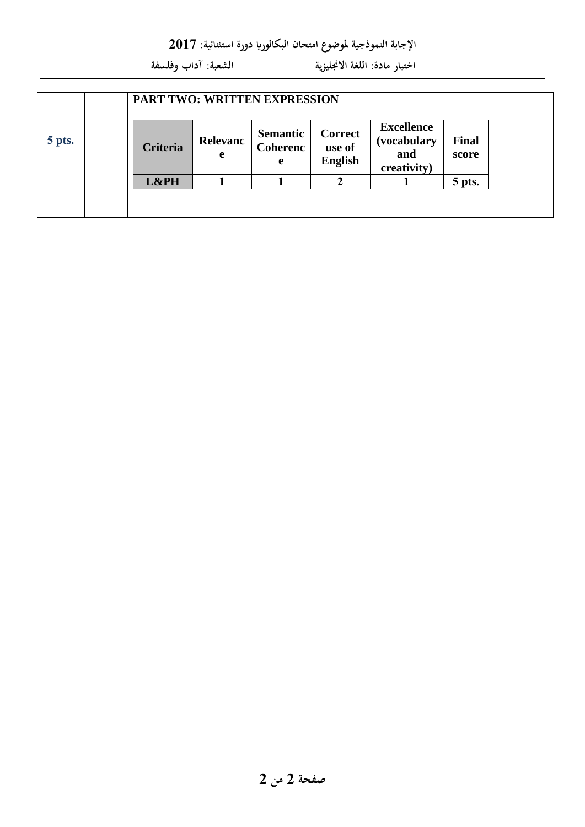**اإلجابة النموذجية ملووو اتحاا البكالوراي دورة اسحثنائية: 2017**

 **اخحبار تادة: اللغة االجنليزية الشعبة: آداب وفلسفة**

|        |  | <b>PART TWO: WRITTEN EXPRESSION</b> |               |                                         |                                            |                                                        |                       |
|--------|--|-------------------------------------|---------------|-----------------------------------------|--------------------------------------------|--------------------------------------------------------|-----------------------|
| 5 pts. |  | <b>Criteria</b>                     | Relevanc<br>e | <b>Semantic</b><br><b>Coherenc</b><br>e | <b>Correct</b><br>use of<br><b>English</b> | <b>Excellence</b><br>(vocabulary<br>and<br>creativity) | <b>Final</b><br>score |
|        |  | L&PH                                |               |                                         |                                            |                                                        | 5 pts.                |